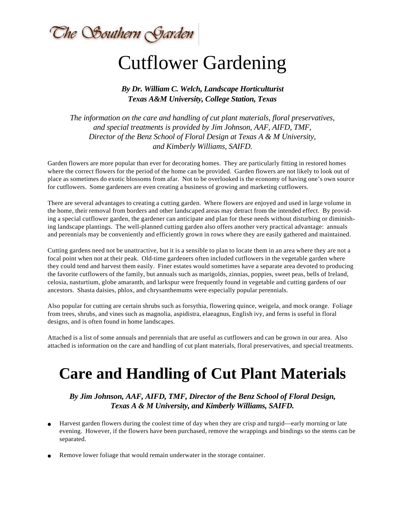The Southern Garden

# Cutflower Gardening

#### *By Dr. William C. Welch, Landscape Horticulturist Texas A&M University, College Station, Texas*

*The information on the care and handling of cut plant materials, floral preservatives, and special treatments is provided by Jim Johnson, AAF, AIFD, TMF, Director of the Benz School of Floral Design at Texas A & M University, and Kimberly Williams, SAIFD.*

Garden flowers are more popular than ever for decorating homes. They are particularly fitting in restored homes where the correct flowers for the period of the home can be provided. Garden flowers are not likely to look out of place as sometimes do exotic blossoms from afar. Not to be overlooked is the economy of having one's own source for cutflowers. Some gardeners are even creating a business of growing and marketing cutflowers.

There are several advantages to creating a cutting garden. Where flowers are enjoyed and used in large volume in the home, their removal from borders and other landscaped areas may detract from the intended effect. By providing a special cutflower garden, the gardener can anticipate and plan for these needs without disturbing or diminishing landscape plantings. The well-planned cutting garden also offers another very practical advantage: annuals and perennials may be conveniently and efficiently grown in rows where they are easily gathered and maintained.

Cutting gardens need not be unattractive, but it is a sensible to plan to locate them in an area where they are not a focal point when not at their peak. Old-time gardeners often included cutflowers in the vegetable garden where they could tend and harvest them easily. Finer estates would sometimes have a separate area devoted to producing the favorite cutflowers of the family, but annuals such as marigolds, zinnias, poppies, sweet peas, bells of Ireland, celosia, nasturtium, globe amaranth, and larkspur were frequently found in vegetable and cutting gardens of our ancestors. Shasta daisies, phlox, and chrysanthemums were especially popular perennials.

Also popular for cutting are certain shrubs such as forsythia, flowering quince, weigela, and mock orange. Foliage from trees, shrubs, and vines such as magnolia, aspidistra, elaeagnus, English ivy, and ferns is useful in floral designs, and is often found in home landscapes.

Attached is a list of some annuals and perennials that are useful as cutflowers and can be grown in our area. Also attached is information on the care and handling of cut plant materials, floral preservatives, and special treatments.

## **Care and Handling of Cut Plant Materials**

### *By Jim Johnson, AAF, AIFD, TMF, Director of the Benz School of Floral Design, Texas A & M University, and Kimberly Williams, SAIFD.*

- Harvest garden flowers during the coolest time of day when they are crisp and turgid—early morning or late evening. However, if the flowers have been purchased, remove the wrappings and bindings so the stems can be separated.
- Remove lower foliage that would remain underwater in the storage container.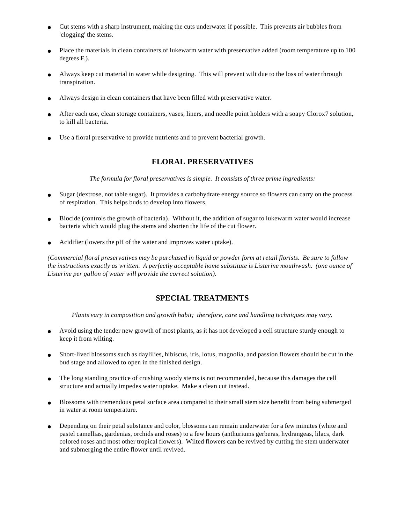- Cut stems with a sharp instrument, making the cuts underwater if possible. This prevents air bubbles from 'clogging' the stems.
- Place the materials in clean containers of lukewarm water with preservative added (room temperature up to 100 degrees F.).
- Always keep cut material in water while designing. This will prevent wilt due to the loss of water through transpiration.
- Always design in clean containers that have been filled with preservative water.
- After each use, clean storage containers, vases, liners, and needle point holders with a soapy Clorox7 solution, to kill all bacteria.
- Use a floral preservative to provide nutrients and to prevent bacterial growth.

#### **FLORAL PRESERVATIVES**

*The formula for floral preservatives is simple. It consists of three prime ingredients:*

- Sugar (dextrose, not table sugar). It provides a carbohydrate energy source so flowers can carry on the process of respiration. This helps buds to develop into flowers.
- Biocide (controls the growth of bacteria). Without it, the addition of sugar to lukewarm water would increase bacteria which would plug the stems and shorten the life of the cut flower.
- Acidifier (lowers the pH of the water and improves water uptake).

*(Commercial floral preservatives may be purchased in liquid or powder form at retail florists. Be sure to follow the instructions exactly as written. A perfectly acceptable home substitute is Listerine mouthwash. (one ounce of Listerine per gallon of water will provide the correct solution).*

#### **SPECIAL TREATMENTS**

*Plants vary in composition and growth habit; therefore, care and handling techniques may vary.*

- Avoid using the tender new growth of most plants, as it has not developed a cell structure sturdy enough to keep it from wilting.
- Short-lived blossoms such as daylilies, hibiscus, iris, lotus, magnolia, and passion flowers should be cut in the bud stage and allowed to open in the finished design.
- The long standing practice of crushing woody stems is not recommended, because this damages the cell structure and actually impedes water uptake. Make a clean cut instead.
- Blossoms with tremendous petal surface area compared to their small stem size benefit from being submerged in water at room temperature.
- Depending on their petal substance and color, blossoms can remain underwater for a few minutes (white and pastel camellias, gardenias, orchids and roses) to a few hours (anthuriums gerberas, hydrangeas, lilacs, dark colored roses and most other tropical flowers). Wilted flowers can be revived by cutting the stem underwater and submerging the entire flower until revived.